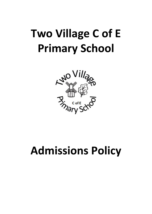# **Two Village C of E Primary School**



## **Admissions Policy**